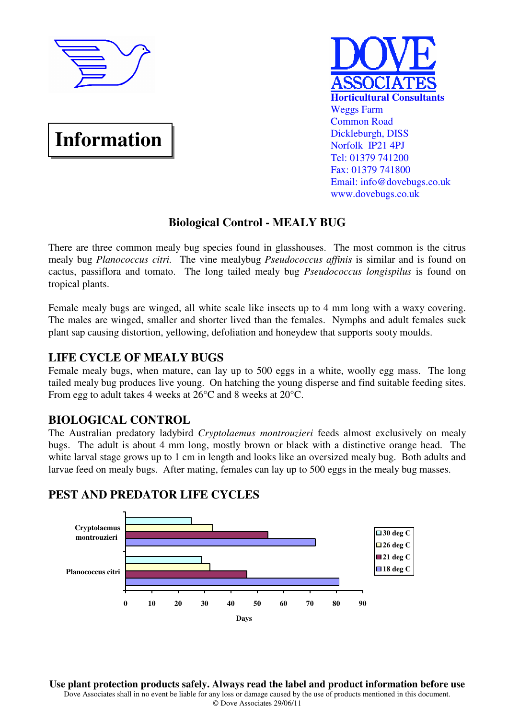

# **Information**



# **Biological Control - MEALY BUG**

There are three common mealy bug species found in glasshouses. The most common is the citrus mealy bug *Planococcus citri.* The vine mealybug *Pseudococcus affinis* is similar and is found on cactus, passiflora and tomato. The long tailed mealy bug *Pseudococcus longispilus* is found on tropical plants.

Female mealy bugs are winged, all white scale like insects up to 4 mm long with a waxy covering. The males are winged, smaller and shorter lived than the females. Nymphs and adult females suck plant sap causing distortion, yellowing, defoliation and honeydew that supports sooty moulds.

## **LIFE CYCLE OF MEALY BUGS**

Female mealy bugs, when mature, can lay up to 500 eggs in a white, woolly egg mass. The long tailed mealy bug produces live young. On hatching the young disperse and find suitable feeding sites. From egg to adult takes 4 weeks at 26°C and 8 weeks at 20°C.

### **BIOLOGICAL CONTROL**

The Australian predatory ladybird *Cryptolaemus montrouzieri* feeds almost exclusively on mealy bugs. The adult is about 4 mm long, mostly brown or black with a distinctive orange head. The white larval stage grows up to 1 cm in length and looks like an oversized mealy bug. Both adults and larvae feed on mealy bugs. After mating, females can lay up to 500 eggs in the mealy bug masses.

#### **0 10 20 30 40 50 60 70 80 90 Planococcus citri Cryptolaemus montrouzieri Days 30 deg C 26 deg C** ■21 deg C ■18 deg C

## **PEST AND PREDATOR LIFE CYCLES**

**Use plant protection products safely. Always read the label and product information before use**  Dove Associates shall in no event be liable for any loss or damage caused by the use of products mentioned in this document. © Dove Associates 29/06/11